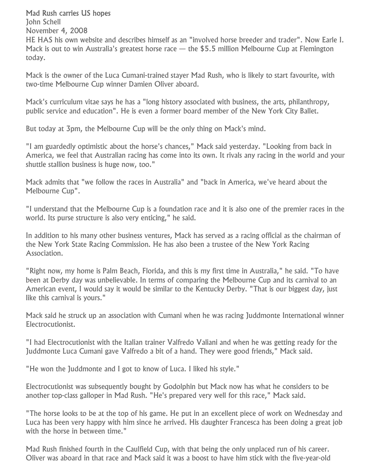## Mad Rush carries US hopes

John Schell November 4, 2008 HE HAS his own website and describes himself as an "involved horse breeder and trader". Now Earle I. Mack is out to win Australia's greatest horse race  $-$  the \$5.5 million Melbourne Cup at Flemington today.

Mack is the owner of the Luca Cumani-trained stayer Mad Rush, who is likely to start favourite, with two-time Melbourne Cup winner Damien Oliver aboard.

Mack's curriculum vitae says he has a "long history associated with business, the arts, philanthropy, public service and education". He is even a former board member of the New York City Ballet.

But today at 3pm, the Melbourne Cup will be the only thing on Mack's mind.

"I am guardedly optimistic about the horse's chances," Mack said yesterday. "Looking from back in America, we feel that Australian racing has come into its own. It rivals any racing in the world and your shuttle stallion business is huge now, too."

Mack admits that "we follow the races in Australia" and "back in America, we've heard about the Melbourne Cup".

"I understand that the Melbourne Cup is a foundation race and it is also one of the premier races in the world. Its purse structure is also very enticing," he said.

In addition to his many other business ventures, Mack has served as a racing official as the chairman of the New York State Racing Commission. He has also been a trustee of the New York Racing Association.

"Right now, my home is Palm Beach, Florida, and this is my first time in Australia," he said. "To have been at Derby day was unbelievable. In terms of comparing the Melbourne Cup and its carnival to an American event, I would say it would be similar to the Kentucky Derby. "That is our biggest day, just like this carnival is yours."

Mack said he struck up an association with Cumani when he was racing Juddmonte International winner Electrocutionist.

"I had Electrocutionist with the Italian trainer Valfredo Valiani and when he was getting ready for the Juddmonte Luca Cumani gave Valfredo a bit of a hand. They were good friends," Mack said.

"He won the Juddmonte and I got to know of Luca. I liked his style."

Electrocutionist was subsequently bought by Godolphin but Mack now has what he considers to be another top-class galloper in Mad Rush. "He's prepared very well for this race," Mack said.

"The horse looks to be at the top of his game. He put in an excellent piece of work on Wednesday and Luca has been very happy with him since he arrived. His daughter Francesca has been doing a great job with the horse in between time."

Mad Rush finished fourth in the Caulfield Cup, with that being the only unplaced run of his career. Oliver was aboard in that race and Mack said it was a boost to have him stick with the five-year-old